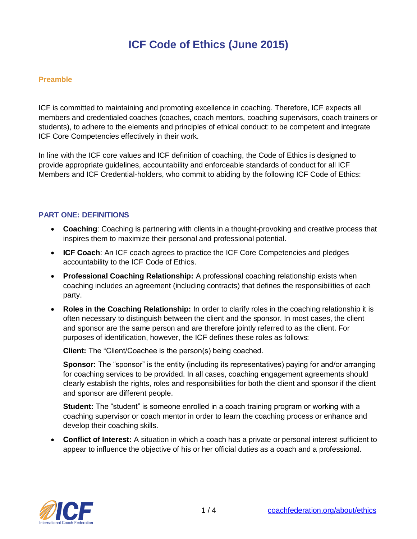# **ICF Code of Ethics (June 2015)**

#### **Preamble**

ICF is committed to maintaining and promoting excellence in coaching. Therefore, ICF expects all members and credentialed coaches (coaches, coach mentors, coaching supervisors, coach trainers or students), to adhere to the elements and principles of ethical conduct: to be competent and integrate ICF Core Competencies effectively in their work.

In line with the ICF core values and ICF definition of coaching, the Code of Ethics is designed to provide appropriate guidelines, accountability and enforceable standards of conduct for all ICF Members and ICF Credential-holders, who commit to abiding by the following ICF Code of Ethics:

### **PART ONE: DEFINITIONS**

- **Coaching**: Coaching is partnering with clients in a thought-provoking and creative process that inspires them to maximize their personal and professional potential.
- **ICF Coach**: An ICF coach agrees to practice the ICF Core Competencies and pledges accountability to the ICF Code of Ethics.
- **Professional Coaching Relationship:** A professional coaching relationship exists when coaching includes an agreement (including contracts) that defines the responsibilities of each party.
- **Roles in the Coaching Relationship:** In order to clarify roles in the coaching relationship it is often necessary to distinguish between the client and the sponsor. In most cases, the client and sponsor are the same person and are therefore jointly referred to as the client. For purposes of identification, however, the ICF defines these roles as follows:

**Client:** The "Client/Coachee is the person(s) being coached.

**Sponsor:** The "sponsor" is the entity (including its representatives) paying for and/or arranging for coaching services to be provided. In all cases, coaching engagement agreements should clearly establish the rights, roles and responsibilities for both the client and sponsor if the client and sponsor are different people.

**Student:** The "student" is someone enrolled in a coach training program or working with a coaching supervisor or coach mentor in order to learn the coaching process or enhance and develop their coaching skills.

 **Conflict of Interest:** A situation in which a coach has a private or personal interest sufficient to appear to influence the objective of his or her official duties as a coach and a professional.

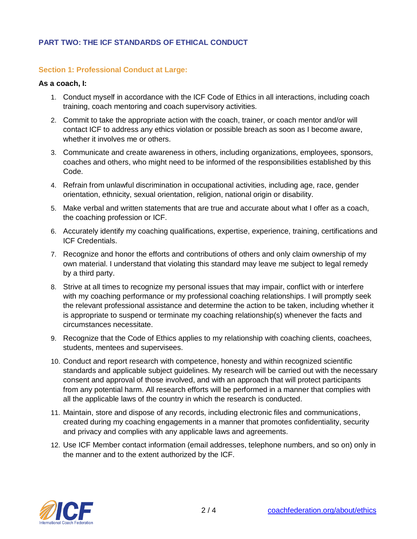# **PART TWO: THE ICF STANDARDS OF ETHICAL CONDUCT**

## **Section 1: Professional Conduct at Large:**

#### **As a coach, I:**

- 1. Conduct myself in accordance with the ICF Code of Ethics in all interactions, including coach training, coach mentoring and coach supervisory activities.
- 2. Commit to take the appropriate action with the coach, trainer, or coach mentor and/or will contact ICF to address any ethics violation or possible breach as soon as I become aware, whether it involves me or others.
- 3. Communicate and create awareness in others, including organizations, employees, sponsors, coaches and others, who might need to be informed of the responsibilities established by this Code.
- 4. Refrain from unlawful discrimination in occupational activities, including age, race, gender orientation, ethnicity, sexual orientation, religion, national origin or disability.
- 5. Make verbal and written statements that are true and accurate about what I offer as a coach, the coaching profession or ICF.
- 6. Accurately identify my coaching qualifications, expertise, experience, training, certifications and ICF Credentials.
- 7. Recognize and honor the efforts and contributions of others and only claim ownership of my own material. I understand that violating this standard may leave me subject to legal remedy by a third party.
- 8. Strive at all times to recognize my personal issues that may impair, conflict with or interfere with my coaching performance or my professional coaching relationships. I will promptly seek the relevant professional assistance and determine the action to be taken, including whether it is appropriate to suspend or terminate my coaching relationship(s) whenever the facts and circumstances necessitate.
- 9. Recognize that the Code of Ethics applies to my relationship with coaching clients, coachees, students, mentees and supervisees.
- 10. Conduct and report research with competence, honesty and within recognized scientific standards and applicable subject guidelines. My research will be carried out with the necessary consent and approval of those involved, and with an approach that will protect participants from any potential harm. All research efforts will be performed in a manner that complies with all the applicable laws of the country in which the research is conducted.
- 11. Maintain, store and dispose of any records, including electronic files and communications, created during my coaching engagements in a manner that promotes confidentiality, security and privacy and complies with any applicable laws and agreements.
- 12. Use ICF Member contact information (email addresses, telephone numbers, and so on) only in the manner and to the extent authorized by the ICF.

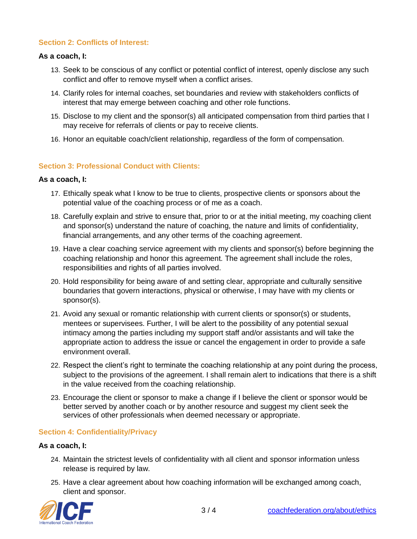## **Section 2: Conflicts of Interest:**

### **As a coach, I:**

- 13. Seek to be conscious of any conflict or potential conflict of interest, openly disclose any such conflict and offer to remove myself when a conflict arises.
- 14. Clarify roles for internal coaches, set boundaries and review with stakeholders conflicts of interest that may emerge between coaching and other role functions.
- 15. Disclose to my client and the sponsor(s) all anticipated compensation from third parties that I may receive for referrals of clients or pay to receive clients.
- 16. Honor an equitable coach/client relationship, regardless of the form of compensation.

# **Section 3: Professional Conduct with Clients:**

## **As a coach, I:**

- 17. Ethically speak what I know to be true to clients, prospective clients or sponsors about the potential value of the coaching process or of me as a coach.
- 18. Carefully explain and strive to ensure that, prior to or at the initial meeting, my coaching client and sponsor(s) understand the nature of coaching, the nature and limits of confidentiality, financial arrangements, and any other terms of the coaching agreement.
- 19. Have a clear coaching service agreement with my clients and sponsor(s) before beginning the coaching relationship and honor this agreement. The agreement shall include the roles, responsibilities and rights of all parties involved.
- 20. Hold responsibility for being aware of and setting clear, appropriate and culturally sensitive boundaries that govern interactions, physical or otherwise, I may have with my clients or sponsor(s).
- 21. Avoid any sexual or romantic relationship with current clients or sponsor(s) or students, mentees or supervisees. Further, I will be alert to the possibility of any potential sexual intimacy among the parties including my support staff and/or assistants and will take the appropriate action to address the issue or cancel the engagement in order to provide a safe environment overall.
- 22. Respect the client's right to terminate the coaching relationship at any point during the process, subject to the provisions of the agreement. I shall remain alert to indications that there is a shift in the value received from the coaching relationship.
- 23. Encourage the client or sponsor to make a change if I believe the client or sponsor would be better served by another coach or by another resource and suggest my client seek the services of other professionals when deemed necessary or appropriate.

# **Section 4: Confidentiality/Privacy**

### **As a coach, I:**

- 24. Maintain the strictest levels of confidentiality with all client and sponsor information unless release is required by law.
- 25. Have a clear agreement about how coaching information will be exchanged among coach, client and sponsor.